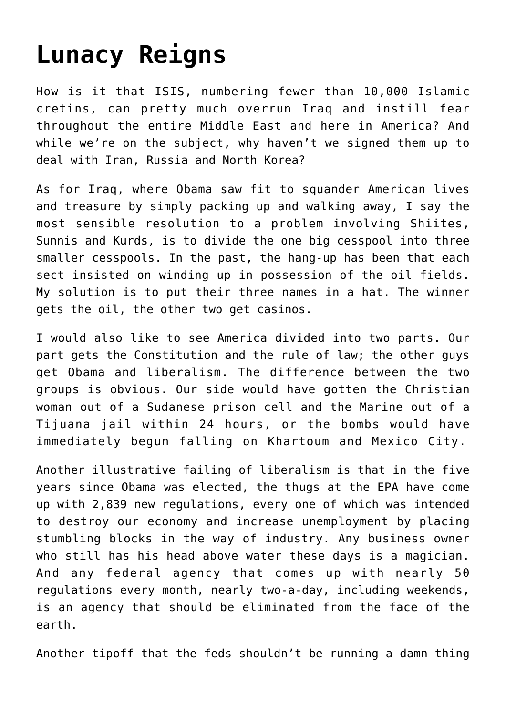## **[Lunacy Reigns](https://bernardgoldberg.com/template-12/)**

How is it that ISIS, numbering fewer than 10,000 Islamic cretins, can pretty much overrun Iraq and instill fear throughout the entire Middle East and here in America? And while we're on the subject, why haven't we signed them up to deal with Iran, Russia and North Korea?

As for Iraq, where Obama saw fit to squander American lives and treasure by simply packing up and walking away, I say the most sensible resolution to a problem involving Shiites, Sunnis and Kurds, is to divide the one big cesspool into three smaller cesspools. In the past, the hang-up has been that each sect insisted on winding up in possession of the oil fields. My solution is to put their three names in a hat. The winner gets the oil, the other two get casinos.

I would also like to see America divided into two parts. Our part gets the Constitution and the rule of law; the other guys get Obama and liberalism. The difference between the two groups is obvious. Our side would have gotten the Christian woman out of a Sudanese prison cell and the Marine out of a Tijuana jail within 24 hours, or the bombs would have immediately begun falling on Khartoum and Mexico City.

Another illustrative failing of liberalism is that in the five years since Obama was elected, the thugs at the EPA have come up with 2,839 new regulations, every one of which was intended to destroy our economy and increase unemployment by placing stumbling blocks in the way of industry. Any business owner who still has his head above water these days is a magician. And any federal agency that comes up with nearly 50 regulations every month, nearly two-a-day, including weekends, is an agency that should be eliminated from the face of the earth.

Another tipoff that the feds shouldn't be running a damn thing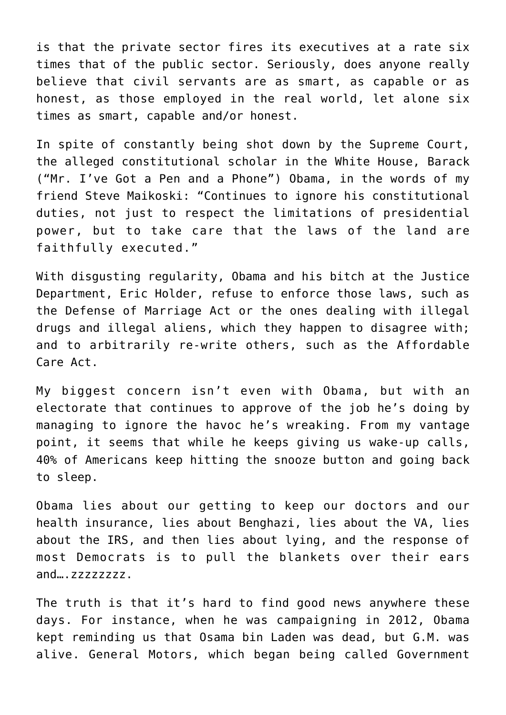is that the private sector fires its executives at a rate six times that of the public sector. Seriously, does anyone really believe that civil servants are as smart, as capable or as honest, as those employed in the real world, let alone six times as smart, capable and/or honest.

In spite of constantly being shot down by the Supreme Court, the alleged constitutional scholar in the White House, Barack ("Mr. I've Got a Pen and a Phone") Obama, in the words of my friend Steve Maikoski: "Continues to ignore his constitutional duties, not just to respect the limitations of presidential power, but to take care that the laws of the land are faithfully executed."

With disgusting regularity, Obama and his bitch at the Justice Department, Eric Holder, refuse to enforce those laws, such as the Defense of Marriage Act or the ones dealing with illegal drugs and illegal aliens, which they happen to disagree with; and to arbitrarily re-write others, such as the Affordable Care Act.

My biggest concern isn't even with Obama, but with an electorate that continues to approve of the job he's doing by managing to ignore the havoc he's wreaking. From my vantage point, it seems that while he keeps giving us wake-up calls, 40% of Americans keep hitting the snooze button and going back to sleep.

Obama lies about our getting to keep our doctors and our health insurance, lies about Benghazi, lies about the VA, lies about the IRS, and then lies about lying, and the response of most Democrats is to pull the blankets over their ears and….zzzzzzzz.

The truth is that it's hard to find good news anywhere these days. For instance, when he was campaigning in 2012, Obama kept reminding us that Osama bin Laden was dead, but G.M. was alive. General Motors, which began being called Government